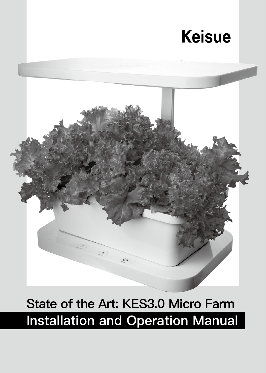# **Keisue**



# **Installation and Operation Manual State of the Art: KES3.0 Micro Farm**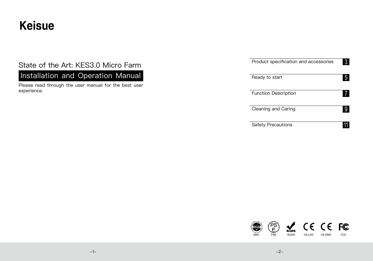# **Keisue**

# State of the Art: KES3.0 Micro Farm

Installation and Operation Manual

Please read through the user manual for the best user experience.

| Product specification and accessories | 3 |
|---------------------------------------|---|
| Ready to start                        |   |
| <b>Function Description</b>           |   |
| Cleaning and Caring                   |   |
| <b>Safety Precautions</b>             |   |

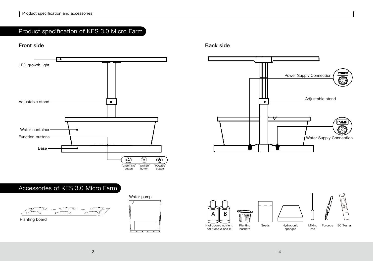# Product specification of KES 3.0 Micro Farm



# Accessories of KES 3.0 Micro Farm



Planting board



**Front side Back side**





-3- -4-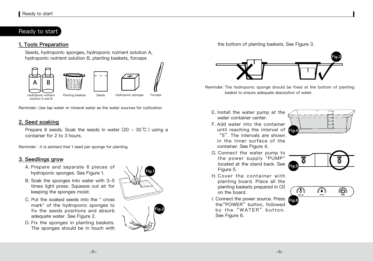## Ready to start

#### **1. Tools Preparation**

Seeds, hydroponic sponges, hydroponic nutrient solution A, hydroponic nutrient solution B, planting baskets, forceps



Reminder: Use tap water or mineral water as the water sources for cultivation.

#### **2. Seed soaking**

Prepare 6 seeds. Soak the seeds in water (20 - 30 ℃) using a container for 2 to 3 hours.

Reminder : it is advised that 1 seed per sponge for planting.

#### **3. Seedlings grow**

- A. Prepare and separate 6 pieces of hydroponic sponges. See Figure 1.
- B. Soak the sponges into water with 3-5 times light press. Squeeze out air for keeping the sponges moist.
- C. Put the soaked seeds into the " cross mark" of the hydroponic sponges to fix the seeds positions and absorb adequate water. See Figure 2.
- D. Fix the sponges in planting baskets. The sponges should be in touch with



the bottom of planting baskets. See Figure 3.



Reminder: The hydroponic sponge should be fixed at the bottom of planting basket to ensure adequate absorption of water.

- E. Install the water pump at the water container center.
- F. Add water into the container until reaching the interval of **Fig.**  "5". The intervals are shown in the inner surface of the container. See Figure 4.
- G. Connect the water pump to the power supply "PUMP" located at the stand back. See Figure 5.
- H. Cover the container with planting board. Place all the planting baskets prepared in (3) on the board.
- I. Connect the power source. Press the"POWER" button, followed by the "WATER" button. See Figure 6.





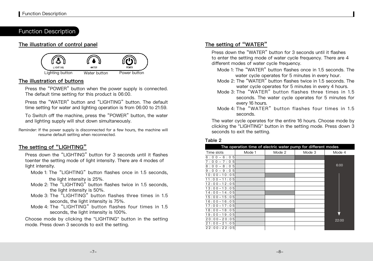## Function Description

#### **The illustration of control panel**



#### **The illustration of buttons**

Press the "POWER" button when the power supply is connected. The default time setting for this product is 06:00.

Press the "WATER" button and "LIGHTING" button. The default time setting for water and lighting operation is from 06:00 to 21:59.

To Switch off the machine, press the "POWER" button, the water and lighting supply will shut down simultaneously.

Reminder: If the power supply is disconnected for a few hours, the machine will resume default setting when reconnected.

## **The setting of "LIGHTING"**

Press down the "LIGHTING" button for 3 seconds until it flashes toenter the setting mode of light intensity. There are 4 modes of light intensity.

- Mode 1: The "LIGHTING" button flashes once in 1.5 seconds, the light intensity is 25%.
- Mode 2: The "LIGHTING" button flashes twice in 1.5 seconds, the light intensity is 50%.
- Mode 3: The "LIGHTING" button flashes three times in 1.5 seconds, the light intensity is 75%.
- Mode 4: The "LIGHTING" button flashes four times in 1.5 seconds, the light intensity is 100%.

Choose mode by clicking the "LIGHTING" button in the setting mode. Press down 3 seconds to exit the setting.

### **The setting of "WATER"**

Press down the "WATER" button for 3 seconds until it flashes to enter the setting mode of water cycle frequency. There are 4 different modes of water cycle frequency.

- Mode 1: The "WATER" button flashes once in 1.5 seconds. The water cycle operates for 5 minutes in every hour.
- Mode 2: The "WATER" button flashes twice in 1.5 seconds. The water cycle operates for 5 minutes in every 4 hours.
- Mode 3: The "WATER" button flashes three times in 1.5 seconds. The water cycle operates for 5 minutes for every 16 hours.
- Mode 4: The "WATER" button flashes four times in 1.5 seconds.

The water cycle operates for the entire 16 hours. Choose mode by clicking the "LIGHTING" button in the setting mode. Press down 3 seconds to exit the setting.

#### **Table 2**

| The operation time of electric water pump for different modes |        |        |        |        |
|---------------------------------------------------------------|--------|--------|--------|--------|
| Time slots                                                    | Mode 1 | Mode 2 | Mode 3 | Mode 4 |
| $6:00 - 6:05$                                                 |        |        |        |        |
| $7:00 - 7:05$                                                 |        |        |        |        |
| $8:00 - 8:05$                                                 |        |        |        | 6:00   |
| $9:00 - 9:05$                                                 |        |        |        |        |
| $10:00 - 10:05$                                               |        |        |        |        |
| $11:00 - 11:05$                                               |        |        |        |        |
| $12:00 - 12:05$                                               |        |        |        |        |
| $13:00 - 13:05$                                               |        |        |        |        |
| $14:00 - 14:05$                                               |        |        |        |        |
| $15:00 - 15:05$                                               |        |        |        |        |
| $16:00 - 16:05$                                               |        |        |        |        |
| $17:00 - 17:05$                                               |        |        |        |        |
| $18:00 - 18:05$                                               |        |        |        |        |
| $19:00 - 19:05$                                               |        |        |        |        |
| $20:00 - 20:05$                                               |        |        |        | 22:00  |
| $21:00 - 21:05$                                               |        |        |        |        |
| $22:00 - 22:05$                                               |        |        |        |        |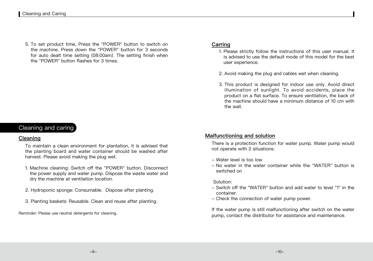5. To set product time, Press the "POWER" button to switch on the machine. Press down the "POWER" button for 3 seconds for auto dealt time setting (08:00am). The setting finish when the "POWER" button flashes for 3 times.

# Cleaning and caring

#### **Cleaning**

To maintain a clean environment for plantation, it is advised that the planting board and water container should be washed after harvest. Please avoid making the plug wet.

- 1. Machine cleaning: Switch off the "POWER" button. Disconnect the power supply and water pump. Dispose the waste water and dry the machine at ventilation location.
- 2. Hydroponic sponge: Consumable. Dispose after planting.
- 3. Planting baskets: Reusable. Clean and reuse after planting.

Reminder: Please use neutral detergents for cleaning.

### **Carring**

- 1. Please strictly follow the instructions of this user manual. It is advised to use the default mode of this model for the best user experience.
- 2. Avoid making the plug and cables wet when cleaning.
- 3. This product is designed for indoor use only. Avoid direct illumination of sunlight. To avoid accidents, place the product on a flat surface. To ensure ventilation, the back of the machine should have a minimum distance of 10 cm with the wall.

#### **Malfunctioning and solution**

There is a protection function for water pump. Water pump would not operate with 2 situations:

- Water level is too low
- No water in the water container while the "WATER" button is switched on

#### Solution:

- Switch off the "WATER" button and add water to level "1" in the container.
- Check the connection of water pump power.

If the water pump is still malfunctioning after switch on the water pump, contact the distributor for assistance and maintenance.